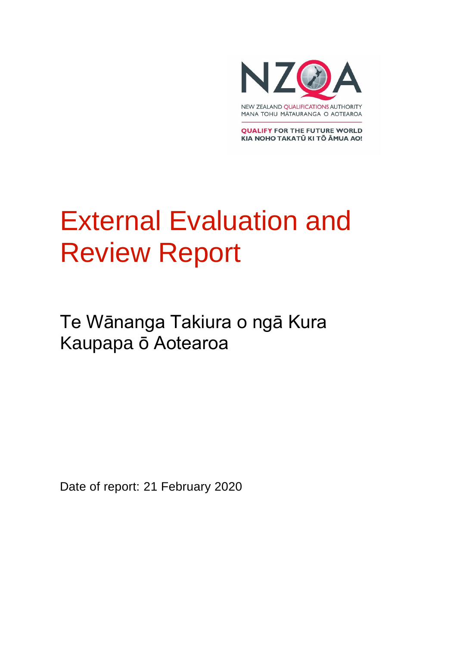

**QUALIFY FOR THE FUTURE WORLD** KIA NOHO TAKATŪ KI TŌ ĀMUA AO!

# External Evaluation and Review Report

Te Wānanga Takiura o ngā Kura Kaupapa ō Aotearoa

Date of report: 21 February 2020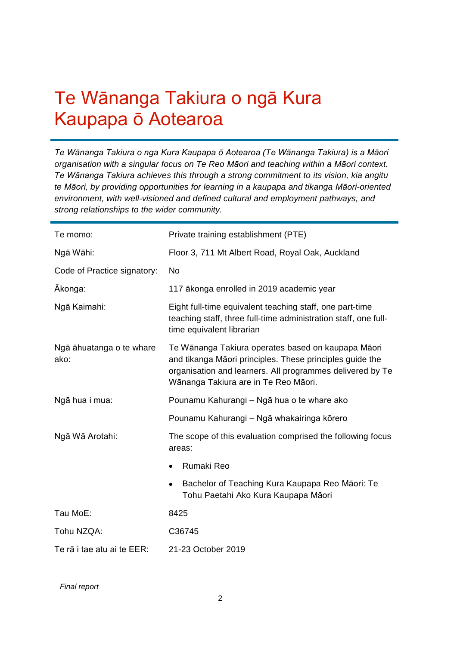### Te Wānanga Takiura o ngā Kura Kaupapa ō Aotearoa

*Te Wānanga Takiura o nga Kura Kaupapa ō Aotearoa (Te Wānanga Takiura) is a Māori organisation with a singular focus on Te Reo Māori and teaching within a Māori context. Te Wānanga Takiura achieves this through a strong commitment to its vision, kia angitu te Māori, by providing opportunities for learning in a kaupapa and tikanga Māori-oriented environment, with well-visioned and defined cultural and employment pathways, and strong relationships to the wider community.*

| Te momo:                         | Private training establishment (PTE)                                                                                                                                                                                |  |  |  |
|----------------------------------|---------------------------------------------------------------------------------------------------------------------------------------------------------------------------------------------------------------------|--|--|--|
| Ngā Wāhi:                        | Floor 3, 711 Mt Albert Road, Royal Oak, Auckland                                                                                                                                                                    |  |  |  |
| Code of Practice signatory:      | <b>No</b>                                                                                                                                                                                                           |  |  |  |
| Ākonga:                          | 117 ākonga enrolled in 2019 academic year                                                                                                                                                                           |  |  |  |
| Ngā Kaimahi:                     | Eight full-time equivalent teaching staff, one part-time<br>teaching staff, three full-time administration staff, one full-<br>time equivalent librarian                                                            |  |  |  |
| Ngā āhuatanga o te whare<br>ako: | Te Wānanga Takiura operates based on kaupapa Māori<br>and tikanga Māori principles. These principles guide the<br>organisation and learners. All programmes delivered by Te<br>Wānanga Takiura are in Te Reo Māori. |  |  |  |
| Ngā hua i mua:                   | Pounamu Kahurangi - Ngā hua o te whare ako                                                                                                                                                                          |  |  |  |
|                                  | Pounamu Kahurangi - Ngā whakairinga kōrero                                                                                                                                                                          |  |  |  |
| Ngā Wā Arotahi:                  | The scope of this evaluation comprised the following focus<br>areas:                                                                                                                                                |  |  |  |
|                                  | Rumaki Reo                                                                                                                                                                                                          |  |  |  |
|                                  | Bachelor of Teaching Kura Kaupapa Reo Māori: Te<br>Tohu Paetahi Ako Kura Kaupapa Māori                                                                                                                              |  |  |  |
| Tau MoE:                         | 8425                                                                                                                                                                                                                |  |  |  |
| Tohu NZQA:                       | C36745                                                                                                                                                                                                              |  |  |  |
| Te rā i tae atu ai te EER:       | 21-23 October 2019                                                                                                                                                                                                  |  |  |  |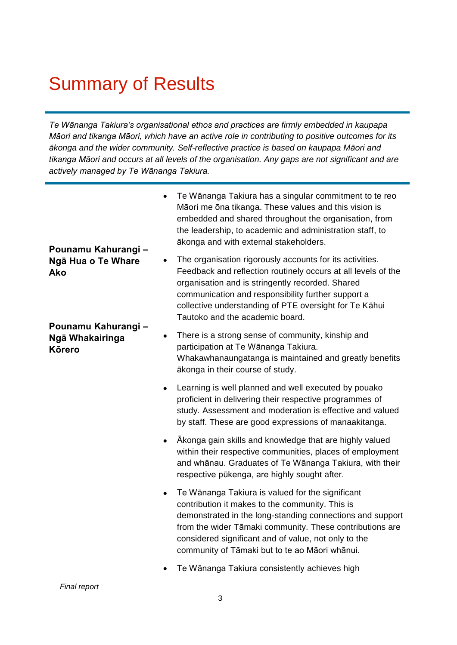### Summary of Results

*Te Wānanga Takiura's organisational ethos and practices are firmly embedded in kaupapa Māori and tikanga Māori, which have an active role in contributing to positive outcomes for its ākonga and the wider community. Self-reflective practice is based on kaupapa Māori and tikanga Māori and occurs at all levels of the organisation. Any gaps are not significant and are actively managed by Te Wānanga Takiura.*

| Pounamu Kahurangi -                                     | $\bullet$ | Te Wānanga Takiura has a singular commitment to te reo<br>Māori me ōna tikanga. These values and this vision is<br>embedded and shared throughout the organisation, from<br>the leadership, to academic and administration staff, to<br>ākonga and with external stakeholders.                                                         |
|---------------------------------------------------------|-----------|----------------------------------------------------------------------------------------------------------------------------------------------------------------------------------------------------------------------------------------------------------------------------------------------------------------------------------------|
| Ngā Hua o Te Whare<br>Ako                               | $\bullet$ | The organisation rigorously accounts for its activities.<br>Feedback and reflection routinely occurs at all levels of the<br>organisation and is stringently recorded. Shared<br>communication and responsibility further support a<br>collective understanding of PTE oversight for Te Kāhui<br>Tautoko and the academic board.       |
| Pounamu Kahurangi -<br>Ngā Whakairinga<br><b>Körero</b> | ٠         | There is a strong sense of community, kinship and<br>participation at Te Wānanga Takiura.<br>Whakawhanaungatanga is maintained and greatly benefits<br>ākonga in their course of study.                                                                                                                                                |
|                                                         | $\bullet$ | Learning is well planned and well executed by pouako<br>proficient in delivering their respective programmes of<br>study. Assessment and moderation is effective and valued<br>by staff. These are good expressions of manaakitanga.                                                                                                   |
|                                                         | $\bullet$ | Akonga gain skills and knowledge that are highly valued<br>within their respective communities, places of employment<br>and whānau. Graduates of Te Wānanga Takiura, with their<br>respective pūkenga, are highly sought after.                                                                                                        |
|                                                         | $\bullet$ | Te Wānanga Takiura is valued for the significant<br>contribution it makes to the community. This is<br>demonstrated in the long-standing connections and support<br>from the wider Tāmaki community. These contributions are<br>considered significant and of value, not only to the<br>community of Tāmaki but to te ao Māori whānui. |
|                                                         |           | Te Wānanga Takiura consistently achieves high                                                                                                                                                                                                                                                                                          |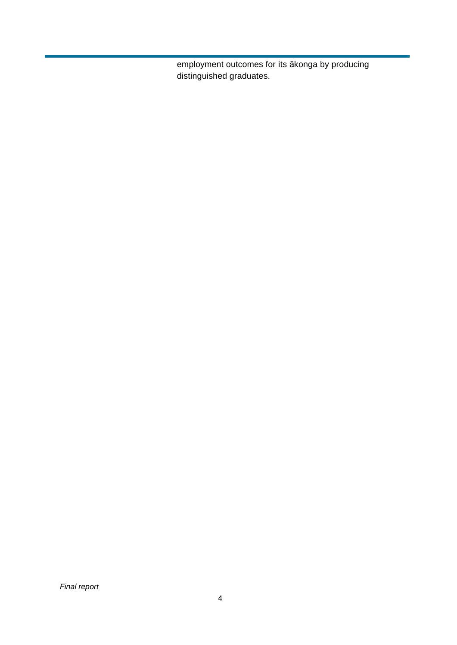employment outcomes for its ākonga by producing distinguished graduates.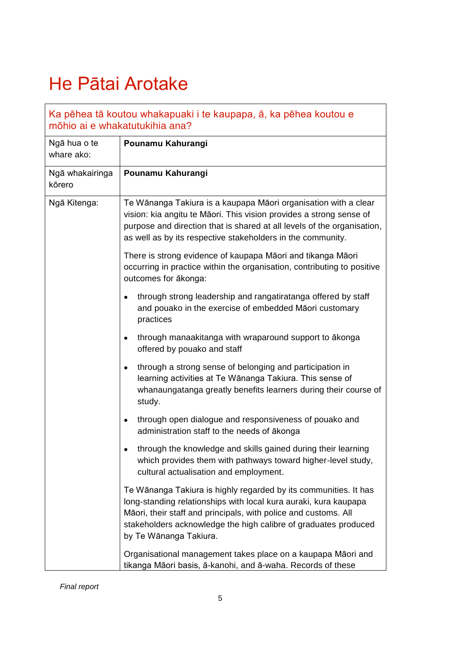## He Pātai Arotake

|                            | Ka pēhea tā koutou whakapuaki i te kaupapa, ā, ka pēhea koutou e<br>mõhio ai e whakatutukihia ana?                                                                                                                                                                                                   |
|----------------------------|------------------------------------------------------------------------------------------------------------------------------------------------------------------------------------------------------------------------------------------------------------------------------------------------------|
| Ngā hua o te<br>whare ako: | Pounamu Kahurangi                                                                                                                                                                                                                                                                                    |
| Ngā whakairinga<br>kōrero  | Pounamu Kahurangi                                                                                                                                                                                                                                                                                    |
| Ngā Kitenga:               | Te Wānanga Takiura is a kaupapa Māori organisation with a clear<br>vision: kia angitu te Māori. This vision provides a strong sense of<br>purpose and direction that is shared at all levels of the organisation,<br>as well as by its respective stakeholders in the community.                     |
|                            | There is strong evidence of kaupapa Māori and tikanga Māori<br>occurring in practice within the organisation, contributing to positive<br>outcomes for ākonga:                                                                                                                                       |
|                            | through strong leadership and rangatiratanga offered by staff<br>$\bullet$<br>and pouako in the exercise of embedded Māori customary<br>practices                                                                                                                                                    |
|                            | through manaakitanga with wraparound support to ākonga<br>$\bullet$<br>offered by pouako and staff                                                                                                                                                                                                   |
|                            | through a strong sense of belonging and participation in<br>$\bullet$<br>learning activities at Te Wānanga Takiura. This sense of<br>whanaungatanga greatly benefits learners during their course of<br>study.                                                                                       |
|                            | through open dialogue and responsiveness of pouako and<br>$\bullet$<br>administration staff to the needs of ākonga                                                                                                                                                                                   |
|                            | through the knowledge and skills gained during their learning<br>which provides them with pathways toward higher-level study,<br>cultural actualisation and employment.                                                                                                                              |
|                            | Te Wānanga Takiura is highly regarded by its communities. It has<br>long-standing relationships with local kura auraki, kura kaupapa<br>Māori, their staff and principals, with police and customs. All<br>stakeholders acknowledge the high calibre of graduates produced<br>by Te Wānanga Takiura. |
|                            | Organisational management takes place on a kaupapa Māori and<br>tikanga Māori basis, ā-kanohi, and ā-waha. Records of these                                                                                                                                                                          |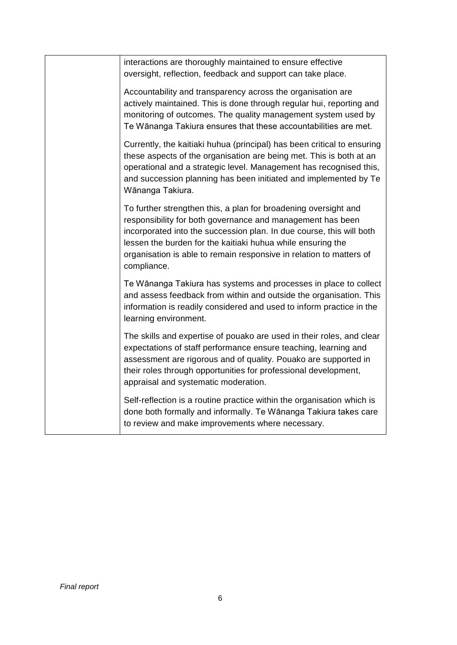| interactions are thoroughly maintained to ensure effective<br>oversight, reflection, feedback and support can take place.                                                                                                                                                                                                                                  |
|------------------------------------------------------------------------------------------------------------------------------------------------------------------------------------------------------------------------------------------------------------------------------------------------------------------------------------------------------------|
| Accountability and transparency across the organisation are<br>actively maintained. This is done through regular hui, reporting and<br>monitoring of outcomes. The quality management system used by<br>Te Wānanga Takiura ensures that these accountabilities are met.                                                                                    |
| Currently, the kaitiaki huhua (principal) has been critical to ensuring<br>these aspects of the organisation are being met. This is both at an<br>operational and a strategic level. Management has recognised this,<br>and succession planning has been initiated and implemented by Te<br>Wānanga Takiura.                                               |
| To further strengthen this, a plan for broadening oversight and<br>responsibility for both governance and management has been<br>incorporated into the succession plan. In due course, this will both<br>lessen the burden for the kaitiaki huhua while ensuring the<br>organisation is able to remain responsive in relation to matters of<br>compliance. |
| Te Wānanga Takiura has systems and processes in place to collect<br>and assess feedback from within and outside the organisation. This<br>information is readily considered and used to inform practice in the<br>learning environment.                                                                                                                    |
| The skills and expertise of pouako are used in their roles, and clear<br>expectations of staff performance ensure teaching, learning and<br>assessment are rigorous and of quality. Pouako are supported in<br>their roles through opportunities for professional development,<br>appraisal and systematic moderation.                                     |
| Self-reflection is a routine practice within the organisation which is<br>done both formally and informally. Te Wānanga Takiura takes care<br>to review and make improvements where necessary.                                                                                                                                                             |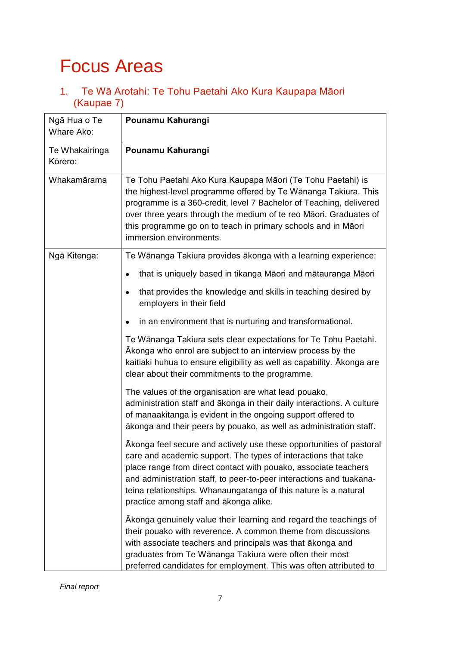### Focus Areas

1. Te Wā Arotahi: Te Tohu Paetahi Ako Kura Kaupapa Māori (Kaupae 7)

| Ngā Hua o Te<br>Whare Ako: | Pounamu Kahurangi                                                                                                                                                                                                                                                                                                                                                                            |
|----------------------------|----------------------------------------------------------------------------------------------------------------------------------------------------------------------------------------------------------------------------------------------------------------------------------------------------------------------------------------------------------------------------------------------|
| Te Whakairinga<br>Kōrero:  | Pounamu Kahurangi                                                                                                                                                                                                                                                                                                                                                                            |
| Whakamārama                | Te Tohu Paetahi Ako Kura Kaupapa Māori (Te Tohu Paetahi) is<br>the highest-level programme offered by Te Wānanga Takiura. This<br>programme is a 360-credit, level 7 Bachelor of Teaching, delivered<br>over three years through the medium of te reo Māori. Graduates of<br>this programme go on to teach in primary schools and in Māori<br>immersion environments.                        |
| Ngā Kitenga:               | Te Wānanga Takiura provides ākonga with a learning experience:                                                                                                                                                                                                                                                                                                                               |
|                            | that is uniquely based in tikanga Māori and mātauranga Māori<br>٠                                                                                                                                                                                                                                                                                                                            |
|                            | that provides the knowledge and skills in teaching desired by<br>$\bullet$<br>employers in their field                                                                                                                                                                                                                                                                                       |
|                            | in an environment that is nurturing and transformational.                                                                                                                                                                                                                                                                                                                                    |
|                            | Te Wānanga Takiura sets clear expectations for Te Tohu Paetahi.<br>Akonga who enrol are subject to an interview process by the<br>kaitiaki huhua to ensure eligibility as well as capability. Akonga are<br>clear about their commitments to the programme.                                                                                                                                  |
|                            | The values of the organisation are what lead pouako,<br>administration staff and ākonga in their daily interactions. A culture<br>of manaakitanga is evident in the ongoing support offered to<br>ākonga and their peers by pouako, as well as administration staff.                                                                                                                         |
|                            | Akonga feel secure and actively use these opportunities of pastoral<br>care and academic support. The types of interactions that take<br>place range from direct contact with pouako, associate teachers<br>and administration staff, to peer-to-peer interactions and tuakana-<br>teina relationships. Whanaungatanga of this nature is a natural<br>practice among staff and ākonga alike. |
|                            | Akonga genuinely value their learning and regard the teachings of<br>their pouako with reverence. A common theme from discussions<br>with associate teachers and principals was that ākonga and<br>graduates from Te Wānanga Takiura were often their most<br>preferred candidates for employment. This was often attributed to                                                              |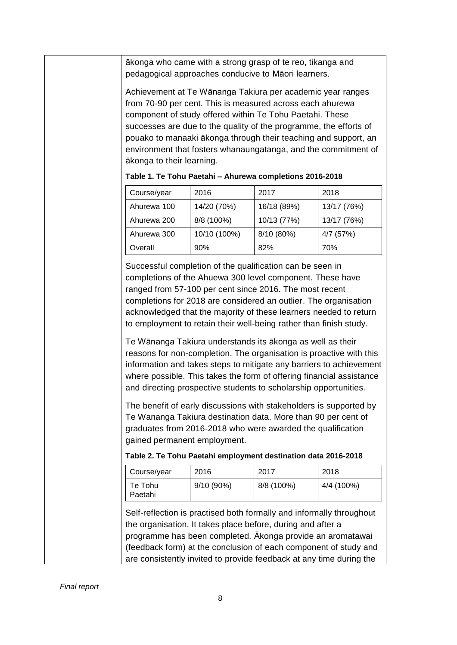ākonga who came with a strong grasp of te reo, tikanga and pedagogical approaches conducive to Māori learners.

Achievement at Te Wānanga Takiura per academic year ranges from 70-90 per cent. This is measured across each ahurewa component of study offered within Te Tohu Paetahi. These successes are due to the quality of the programme, the efforts of pouako to manaaki ākonga through their teaching and support, an environment that fosters whanaungatanga, and the commitment of ākonga to their learning.

| Course/year | 2016         | 2017        | 2018        |
|-------------|--------------|-------------|-------------|
| Ahurewa 100 | 14/20 (70%)  | 16/18 (89%) | 13/17 (76%) |
| Ahurewa 200 | 8/8 (100%)   | 10/13 (77%) | 13/17 (76%) |
| Ahurewa 300 | 10/10 (100%) | 8/10 (80%)  | 4/7 (57%)   |
| Overall     | 90%          | 82%         | 70%         |

**Table 1. Te Tohu Paetahi – Ahurewa completions 2016-2018**

Successful completion of the qualification can be seen in completions of the Ahuewa 300 level component. These have ranged from 57-100 per cent since 2016. The most recent completions for 2018 are considered an outlier. The organisation acknowledged that the majority of these learners needed to return to employment to retain their well-being rather than finish study.

Te Wānanga Takiura understands its ākonga as well as their reasons for non-completion. The organisation is proactive with this information and takes steps to mitigate any barriers to achievement where possible. This takes the form of offering financial assistance and directing prospective students to scholarship opportunities.

The benefit of early discussions with stakeholders is supported by Te Wananga Takiura destination data. More than 90 per cent of graduates from 2016-2018 who were awarded the qualification gained permanent employment.

|  |  |  | Table 2. Te Tohu Paetahi employment destination data 2016-2018 |  |  |
|--|--|--|----------------------------------------------------------------|--|--|
|  |  |  |                                                                |  |  |

| Course/year        | 2016         | 2017       | 2018       |
|--------------------|--------------|------------|------------|
| Te Tohu<br>Paetahi | $9/10(90\%)$ | 8/8 (100%) | 4/4 (100%) |

Self-reflection is practised both formally and informally throughout the organisation. It takes place before, during and after a programme has been completed. Ākonga provide an aromatawai (feedback form) at the conclusion of each component of study and are consistently invited to provide feedback at any time during the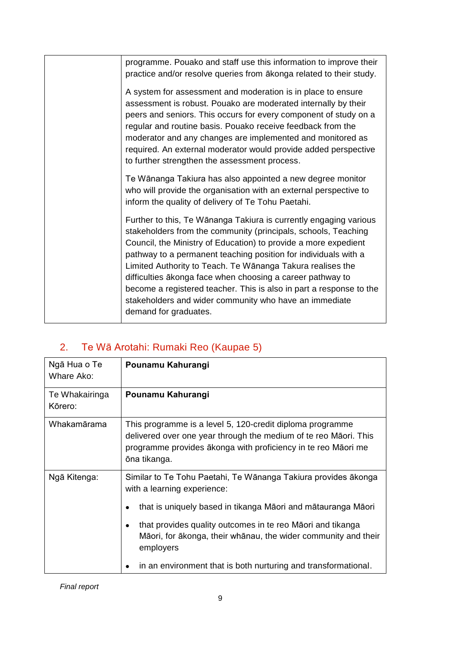| programme. Pouako and staff use this information to improve their<br>practice and/or resolve queries from akonga related to their study.                                                                                                                                                                                                                                                                                                                                                                                                                        |
|-----------------------------------------------------------------------------------------------------------------------------------------------------------------------------------------------------------------------------------------------------------------------------------------------------------------------------------------------------------------------------------------------------------------------------------------------------------------------------------------------------------------------------------------------------------------|
| A system for assessment and moderation is in place to ensure<br>assessment is robust. Pouako are moderated internally by their<br>peers and seniors. This occurs for every component of study on a<br>regular and routine basis. Pouako receive feedback from the<br>moderator and any changes are implemented and monitored as<br>required. An external moderator would provide added perspective<br>to further strengthen the assessment process.                                                                                                             |
| Te Wānanga Takiura has also appointed a new degree monitor<br>who will provide the organisation with an external perspective to<br>inform the quality of delivery of Te Tohu Paetahi.                                                                                                                                                                                                                                                                                                                                                                           |
| Further to this, Te Wānanga Takiura is currently engaging various<br>stakeholders from the community (principals, schools, Teaching<br>Council, the Ministry of Education) to provide a more expedient<br>pathway to a permanent teaching position for individuals with a<br>Limited Authority to Teach. Te Wānanga Takura realises the<br>difficulties ākonga face when choosing a career pathway to<br>become a registered teacher. This is also in part a response to the<br>stakeholders and wider community who have an immediate<br>demand for graduates. |

#### 2. Te Wā Arotahi: Rumaki Reo (Kaupae 5)

| Ngā Hua o Te<br>Whare Ako: | Pounamu Kahurangi                                                                                                                                                                                                                                                                                                                                                                         |
|----------------------------|-------------------------------------------------------------------------------------------------------------------------------------------------------------------------------------------------------------------------------------------------------------------------------------------------------------------------------------------------------------------------------------------|
| Te Whakairinga<br>Kōrero:  | Pounamu Kahurangi                                                                                                                                                                                                                                                                                                                                                                         |
| Whakamārama                | This programme is a level 5, 120-credit diploma programme<br>delivered over one year through the medium of te reo Māori. This<br>programme provides ākonga with proficiency in te reo Māori me<br>ōna tikanga.                                                                                                                                                                            |
| Ngā Kitenga:               | Similar to Te Tohu Paetahi, Te Wānanga Takiura provides ākonga<br>with a learning experience:<br>that is uniquely based in tikanga Māori and mātauranga Māori<br>that provides quality outcomes in te reo Māori and tikanga<br>$\bullet$<br>Māori, for ākonga, their whānau, the wider community and their<br>employers<br>in an environment that is both nurturing and transformational. |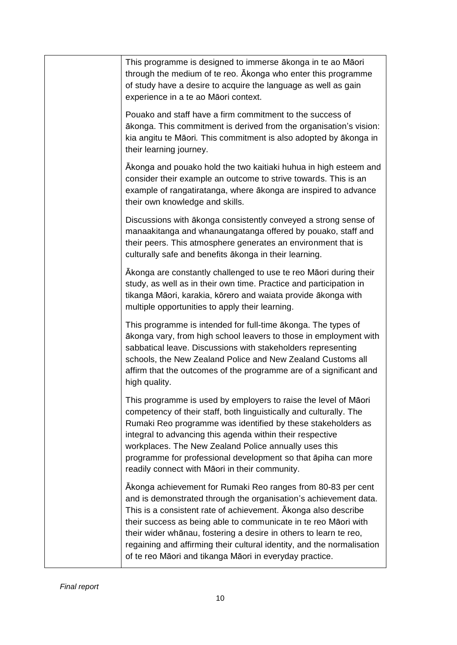| This programme is designed to immerse ākonga in te ao Māori<br>through the medium of te reo. A konga who enter this programme<br>of study have a desire to acquire the language as well as gain<br>experience in a te ao Māori context.                                                                                                                                                                                                                                          |
|----------------------------------------------------------------------------------------------------------------------------------------------------------------------------------------------------------------------------------------------------------------------------------------------------------------------------------------------------------------------------------------------------------------------------------------------------------------------------------|
| Pouako and staff have a firm commitment to the success of<br>ākonga. This commitment is derived from the organisation's vision:<br>kia angitu te Māori. This commitment is also adopted by ākonga in<br>their learning journey.                                                                                                                                                                                                                                                  |
| Ākonga and pouako hold the two kaitiaki huhua in high esteem and<br>consider their example an outcome to strive towards. This is an<br>example of rangatiratanga, where akonga are inspired to advance<br>their own knowledge and skills.                                                                                                                                                                                                                                        |
| Discussions with ākonga consistently conveyed a strong sense of<br>manaakitanga and whanaungatanga offered by pouako, staff and<br>their peers. This atmosphere generates an environment that is<br>culturally safe and benefits ākonga in their learning.                                                                                                                                                                                                                       |
| Ākonga are constantly challenged to use te reo Māori during their<br>study, as well as in their own time. Practice and participation in<br>tikanga Māori, karakia, kōrero and waiata provide ākonga with<br>multiple opportunities to apply their learning.                                                                                                                                                                                                                      |
| This programme is intended for full-time akonga. The types of<br>akonga vary, from high school leavers to those in employment with<br>sabbatical leave. Discussions with stakeholders representing<br>schools, the New Zealand Police and New Zealand Customs all<br>affirm that the outcomes of the programme are of a significant and<br>high quality.                                                                                                                         |
| This programme is used by employers to raise the level of Māori<br>competency of their staff, both linguistically and culturally. The<br>Rumaki Reo programme was identified by these stakeholders as<br>integral to advancing this agenda within their respective<br>workplaces. The New Zealand Police annually uses this<br>programme for professional development so that apiha can more<br>readily connect with Māori in their community.                                   |
| Akonga achievement for Rumaki Reo ranges from 80-83 per cent<br>and is demonstrated through the organisation's achievement data.<br>This is a consistent rate of achievement. A konga also describe<br>their success as being able to communicate in te reo Māori with<br>their wider whānau, fostering a desire in others to learn te reo,<br>regaining and affirming their cultural identity, and the normalisation<br>of te reo Māori and tikanga Māori in everyday practice. |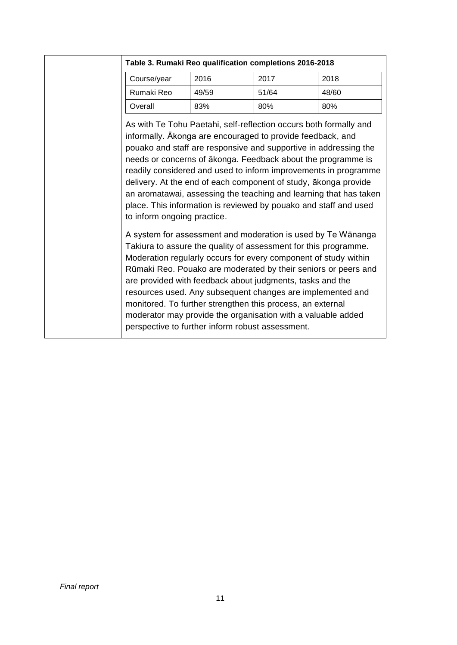| Course/year                                                                                                                                                                                                                                                                                                                                                                                                                                                                                                                                                                                                                                                                                                                                                                                                                                                                                                                                                                                                                                                                                                                                                            | 2016  | 2017  | 2018  |
|------------------------------------------------------------------------------------------------------------------------------------------------------------------------------------------------------------------------------------------------------------------------------------------------------------------------------------------------------------------------------------------------------------------------------------------------------------------------------------------------------------------------------------------------------------------------------------------------------------------------------------------------------------------------------------------------------------------------------------------------------------------------------------------------------------------------------------------------------------------------------------------------------------------------------------------------------------------------------------------------------------------------------------------------------------------------------------------------------------------------------------------------------------------------|-------|-------|-------|
| Rumaki Reo                                                                                                                                                                                                                                                                                                                                                                                                                                                                                                                                                                                                                                                                                                                                                                                                                                                                                                                                                                                                                                                                                                                                                             | 49/59 | 51/64 | 48/60 |
| Overall                                                                                                                                                                                                                                                                                                                                                                                                                                                                                                                                                                                                                                                                                                                                                                                                                                                                                                                                                                                                                                                                                                                                                                | 83%   | 80%   | 80%   |
| As with Te Tohu Paetahi, self-reflection occurs both formally and<br>informally. Akonga are encouraged to provide feedback, and<br>pouako and staff are responsive and supportive in addressing the<br>needs or concerns of ākonga. Feedback about the programme is<br>readily considered and used to inform improvements in programme<br>delivery. At the end of each component of study, akonga provide<br>an aromatawai, assessing the teaching and learning that has taken<br>place. This information is reviewed by pouako and staff and used<br>to inform ongoing practice.<br>A system for assessment and moderation is used by Te Wānanga<br>Takiura to assure the quality of assessment for this programme.<br>Moderation regularly occurs for every component of study within<br>Rūmaki Reo. Pouako are moderated by their seniors or peers and<br>are provided with feedback about judgments, tasks and the<br>resources used. Any subsequent changes are implemented and<br>monitored. To further strengthen this process, an external<br>moderator may provide the organisation with a valuable added<br>perspective to further inform robust assessment. |       |       |       |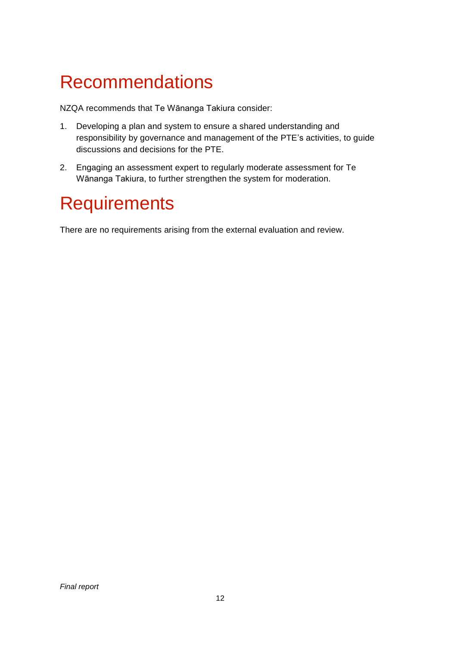### Recommendations

NZQA recommends that Te Wānanga Takiura consider:

- 1. Developing a plan and system to ensure a shared understanding and responsibility by governance and management of the PTE's activities, to guide discussions and decisions for the PTE.
- 2. Engaging an assessment expert to regularly moderate assessment for Te Wānanga Takiura, to further strengthen the system for moderation.

#### **Requirements**

There are no requirements arising from the external evaluation and review.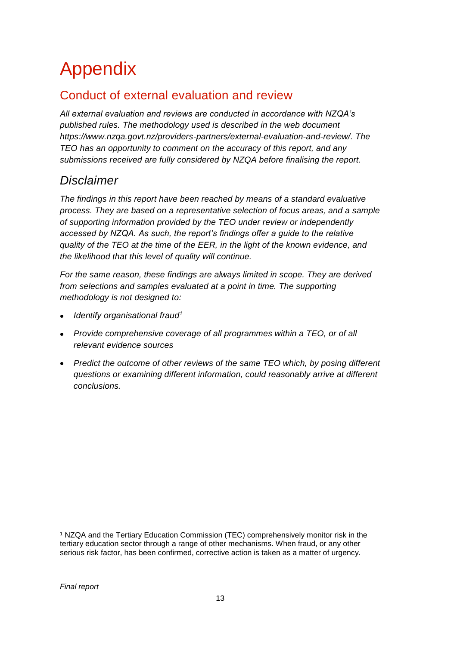# Appendix

#### Conduct of external evaluation and review

*All external evaluation and reviews are conducted in accordance with NZQA's published rules. The methodology used is described in the web document [https://www.nzqa.govt.nz/providers-partners/external-evaluation-and-review/.](https://www.nzqa.govt.nz/providers-partners/external-evaluation-and-review/) The TEO has an opportunity to comment on the accuracy of this report, and any submissions received are fully considered by NZQA before finalising the report.*

#### *Disclaimer*

*The findings in this report have been reached by means of a standard evaluative process. They are based on a representative selection of focus areas, and a sample of supporting information provided by the TEO under review or independently accessed by NZQA. As such, the report's findings offer a guide to the relative quality of the TEO at the time of the EER, in the light of the known evidence, and the likelihood that this level of quality will continue.* 

*For the same reason, these findings are always limited in scope. They are derived from selections and samples evaluated at a point in time. The supporting methodology is not designed to:*

- *Identify organisational fraud<sup>1</sup>*
- *Provide comprehensive coverage of all programmes within a TEO, or of all relevant evidence sources*
- *Predict the outcome of other reviews of the same TEO which, by posing different questions or examining different information, could reasonably arrive at different conclusions.*

<sup>-</sup><sup>1</sup> NZQA and the Tertiary Education Commission (TEC) comprehensively monitor risk in the tertiary education sector through a range of other mechanisms. When fraud, or any other serious risk factor, has been confirmed, corrective action is taken as a matter of urgency.